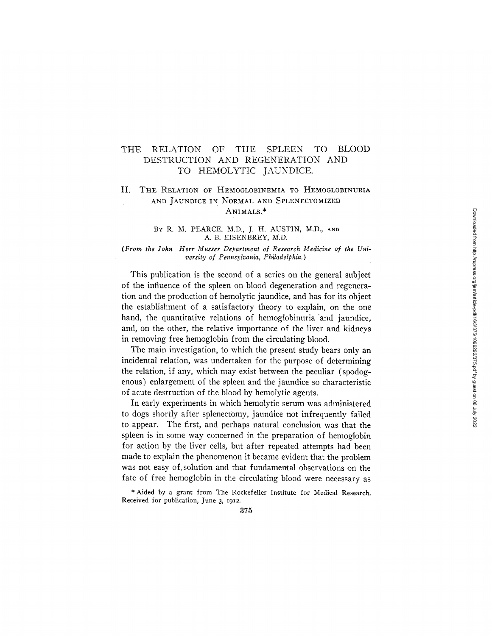# THE RELATION OF THE SPLEEN TO BLOOD DESTRUCTION AND REGENERATION AND TO HEMOLYTIC JAUNDICE.

## II. THE RELATION OF HEMOGLOBINEMIA TO HEMOGLOBINURIA AND JAUNDICE IN NORMAL AND SPLENECTOMIZED ANIMALS.\*

### BY R. M. PEARCE, M.D., J. H. AUSTIN, M.D., AND A. B. EISENBREY, M.D.

### *(From the John Herr Musser Department of Research Medicine of the University of Pennsylvania, Philadelphia.)*

This publication is the second of a series on the general subject of the influence of the spleen on blood degeneration and regeneration and the production of hemolytic jaundice, and has for its object the establishment of a satisfactory theory to explain, on the one hand, the quantitative relations of hemoglobinuria "and jaundice, and, on the other, the relative importance of the liver and kidneys in removing free hemoglobin from the circulating blood.

The main investigation, to which the present study bears only an incidental relation, was undertaken for the purpose of determining the relation, if any, which may exist between the peculiar (spodogenous) enlargement of the spleen and the jaundice so characteristic of acute destruction of the blood by hemolytic agents.

In early experiments in which hemolytic serum was administered to dogs shortly after splenectomy, jaundice not infrequently failed to appear. The first, and perhaps natural conclusion was that the spleen is in some way concerned in the preparation of hemoglobin for action by the liver cells, but after repeated attempts had been made to explain the phenomenon it became evident that the problem was not easy of solution and that fundamental observations on the fate of free hemoglobin in the circulating blood were necessary as

\* Aided by a grant from The Rockefeller Institute for Medical Research. Received for publication, June 3, I912.

375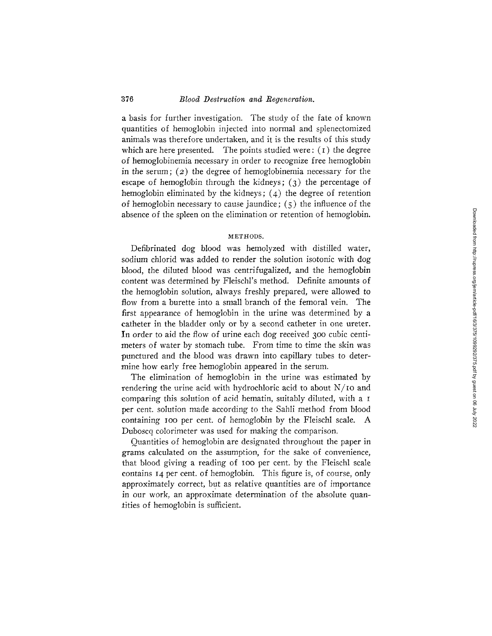## 376 *Blood Destruction and Regeneration.*

a basis for further investigation. The study of the fate of known quantities of hemoglobin injected into normal and splenectomized animals was therefore undertaken, and it is the results of this study which are here presented. The points studied were:  $(1)$  the degree of hemoglobinemia necessary in order to recognize free hemoglobin in the serum; (2) the degree of hemoglobinemia necessary for the escape of hemoglobin through the kidneys; (3) the percentage of hemoglobin eliminated by the kidneys; (4) the degree of retention of hemoglobin necessary to cause jaundice;  $(5)$  the influence of the absence of the spleen on the elimination or retention of hemoglobin.

### METHODS.

Defibrinated dog blood was hemolyzed with distilled water, sodium chlorid was added to render the solution isotonic with dog blood, the diluted blood was centrifugalized, and the hemoglobin content was determined by Fleischl's method. Definite amounts of the hemoglobin solution, always freshly prepared, were allowed to flow from a burette into a small branch of the femoral vein. The first appearance of hemoglobin in the urine was determined by a catheter in the bladder only or by a second catheter in one ureter. In order to aid the flow of urine each dog received 30o cubic centimeters of water by stomach tube. From time to time the skin was punctured and the blood was drawn into capillary tubes to determine how early free hemoglobin appeared in the serum.

The elimination of hemoglobin in the urine was estimated by rendering the urine acid with hydrochloric acid to about  $N/10$  and comparing this solution of acid hematin, suitably diluted, with a I per cent. solution made according to the Sahli method from blood containing Ioo per cent. of hemoglobin by the Fleischl scale. A Duboscq colorimeter was used for making the comparison.

Quantities of hemoglobin are designated throughout the paper in grams calculated on the assumption, for the sake of convenience, that blood giving a reading of Ioo per cent. by the Fleischl scale contains I4 per cent. of hemoglobin. This figure is, of course, only approximately correct, but as relative quantities are of importance in our work, an approximate determination of the absolute quan- .tities of hemoglobin is sufficient.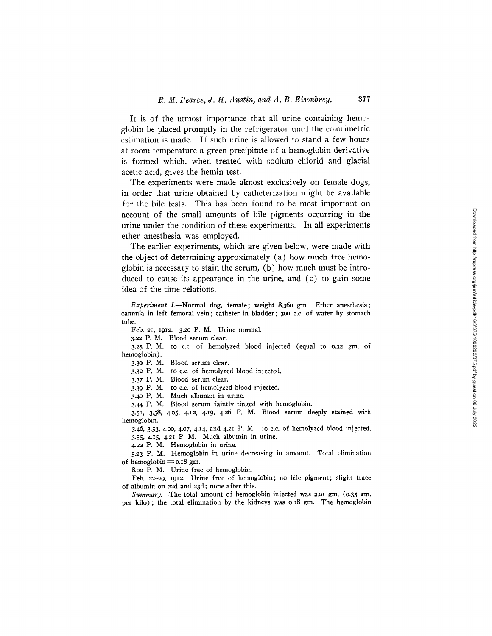It is of the utmost importance that all urine containing hemoglobin be placed promptly in the refrigerator until the colorimetric estimation is made. If such urine is allowed to stand a few hours at room temperature a green precipitate of a hemoglobin derivative is formed which, when treated with sodium chlorid and glacial acetic acid, gives the hemin test.

The experiments were made almost exclusively on female dogs, in order that urine obtained by catheterization might be available for the bile tests. This has been found to be most important on account of the small amounts of bile pigments occurring in the urine under the condition of these experiments. In all experiments ether anesthesia was employed.

The earlier experiments, which are given below, were made with the object of determining approximately (a) how much free hemoglobin is necessary to stain the serum, (b) how much must be introduced to cause its appearance in the urine, and (c) to gain some idea of the time relations.

*Experiment I.*-Normal dog, female; weight 8,360 gm. Ether anesthesia; cannula in left femoral vein; catheter in bladder; 3oo c.c. of water by stomach tube.

Feb. 2i, I912. 3.2o P. M. Urine normal.

3.22 P.M. Blood serum clear.

 $3.25$  P. M. io c.c. of hemolyzed blood injected (equal to  $0.32$  gm. of hemoglobin).

3.3o P. M. Blood serum clear.

3.32 P. M. Io c.c. of hemolyzed blood injected.

3.37 P. M. Blood serum clear.

3.39 P. M. Io c.c. of hemolyzed blood injected.

3.4o P. M. Much albumin in urine.

3.44 P. M. Blood serum faintly tinged with hemoglobin.

**3.5I,** 3.58, 4.05, 4.I2, 4.I9, 4.26 P. M. Blood serum deeply stained with hemoglobin.

3.46, 3.53, 4.oo, 4.o7, 4.I4, and 4.21 P.M. Io e.c. of hemolyzed blood injected. 3.55, 4-I5, 4.2I P. M. Much albumin in urine.

4.z2 P. M. Hemoglobin in urine.

5.23 P. M. Hemoglobin in urine decreasing in amount. Total elimination of hemoglobin  $= 0.18$  gm.

8.oo P. M. Urine free of hemoglobin.

Feb. 22-29, I91z Urine free of hemoglobin; no bile pigment; slight **trace of** albumin on 22d and 23d; none after **this.** 

*Summary.*--The total amount of hemoglobin injected was 2.91 gm. (0.35 gm. per kilo); the total elimination by the kidneys was 0.18 gm. The hemoglobin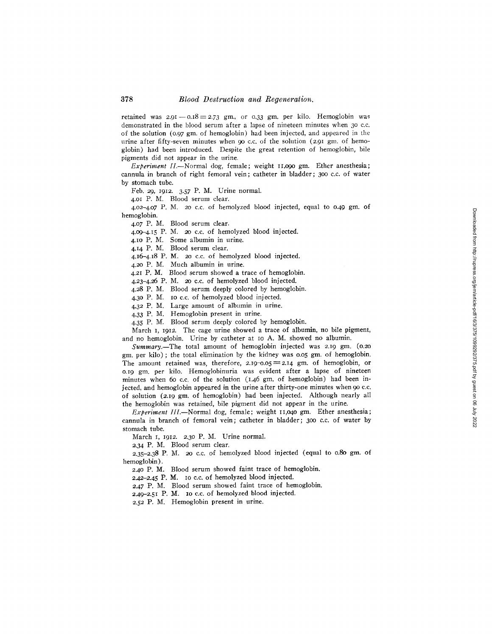retained was  $2.91 - 0.18 = 2.73$  gm., or 0.33 gm. per kilo. Hemoglobin was demonstrated in the blood serum after a lapse of nineteen minutes when  $30$  c.c. of the solution (0.97 gin. of hemoglobin) had been injected, and appeared in the urine after fifty-seven minutes when 90 c.c. of the solution (2.91 gm. of hemoglobin) had been introduced. Despite the great retention of hemoglobin, bile pigments did not appear in the urine.

*Experiment II.*-Normal dog, female; weight 11,000 gm. Ether anesthesia; cannula in branch of right femoral vein; catheter in bladder; 300 c.c. of water by stomach tube.

Feb. 29, 1912. 3.57 P. M. Urine normal.

Blood serum clear. 4.Ol P. M.

4.02–4.07 P. M.  $\alpha$  c.c. of hemolyzed blood injected, equal to 0.49 gm. of h.emoglobin.

4.07 P. M. Blood serum clear.

4.o9-4.15 P. M. 20 c.c. of hemolyzed blood injected.

4.1o P. M. Some albumin in urine.

4.14 P. M'. Blood serum clear.

4.16-4.18 P. M. 2o c.c. of hemolyzed blood injected.

4.20 P. M. Much albumin in urine.

4.21 P. M. Blood serum showed a trace of hemoglobin.

4.23-4.26 P. M. 20 c.c. of hemolyzed blood injected.

4.28 P. M. Blood serum deeply colored by hemoglobin.

4.30 P. M. io c.c. of hemolyzed blood injected.

4.32 P. M. Large amount of albumin in urine.

4.33 P. M. Hemoglobin present in urine.

4.35 P. M. Blood serum deeply colored by hemoglobin.

March I, 1912. The cage urine showed a trace of albumin, no bile pigment, and no hemoglobin. Urine by catheter at IO A. M. showed no albumin.

Summary.-The total amount of hemoglobin injected was 2.19 gm. (0.20 gm. per kilo); the total elimination by the kidney was 0.05 gm. of hemoglobin. The amount retained was, therefore,  $2.19 - 0.05 = 2.14$  gm, of hemoglobin, or 0.19 gm. per kilo. Hemoglobinuria was evident after a lapse of nineteen minutes when 60 c.c. of the solution (1.46 gm. of hemoglobin) had been injected, and hemoglobin appeared in the urine after thirty-one minutes when 9o c.c. of solution (2.19 gm. of hemoglobin) had been injected. Although nearly all the hemoglobin was retained, bile pigment did not appear in the urine.

*Experiment III.*--Normal dog, female; weight 11,040 gm. Ether anesthesia; cannula in branch of femoral vein; catheter in bladder; 300 c.c. of water by stomach tube.

March I, I912. 2.30 P. M. Urine normal.

2.34 P. M. Blood serum clear.

 $2.35 - 2.38$  P. M.  $20$  c.c. of hemolyzed blood injected (equal to 0.80 gm. of hemoglobin).

2.40 P. M. Blood serum showed faint trace of hemoglobin.

*2.42-2.45* P.M. IO c.c. of hemolyzed blood injected.

*2.47* P. M. Blood serum showed faint trace of hemoglobin.

2.49-2.51 P.M. IO c.c. of hemolyzed blood injected.

*2.52* P. M'. Hemoglobin present in urine.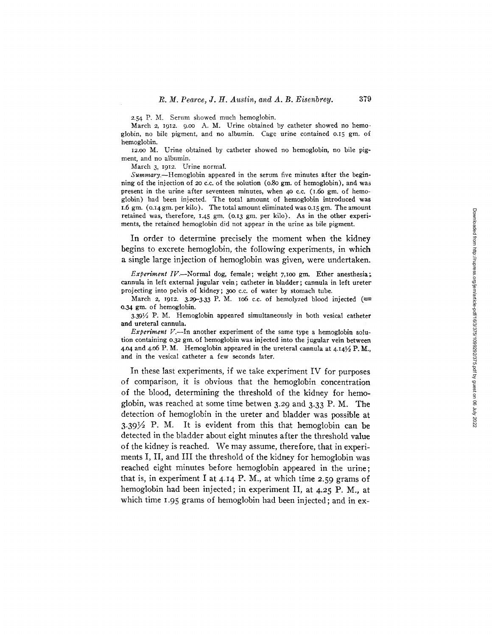2.54 P. M. Serum showed much hemoglobin.

March 2, 1912. 9.00 A.M. Urine obtained by catheter showed no hemoglobin, no bile pigment, and no albumin. Cage urine contained 0.15 gm. of hemoglobin.

12.oo M. Urine obtained by catheter showed no hemoglobin, no bile pigment, and no albumin.

March 3, 1912. Urine normal.

*Summary.--Hemoglobin* appeared in the serum five minutes after the beginning of the injection of 20 c.c. of the solution (0.80 gm, of hemoglobin), and was present in the urine after seventeen minutes, when  $40$  c.c.  $(1.60$  gm, of hemoglobin) had been injected. The total amount of hemoglobin introduced was 1.6 gm. (0.14 gm. per kilo). The total amount eliminated was 0.15 gm. The amount retained was, therefore, 1.45 gm. (0.13 gm. per kilo). As in the other experiments, the retained hemoglobin did not appear in the urine as bile pigment.

In order to determine precisely the moment when the kidney begins to excrete hemoglobin, the following experiments, in which a single large injection of hemoglobin was given, were undertaken.

*Experiment IV*.--Normal dog, female; weight  $7,100$  gm. Ether anesthesia; cannula in left external jugular vein; catheter in bladder; canuula in left ureter projecting into pelvis of kidney; 3o0 c.c. of water by stomach tube.

March 2, 1912.  $3.29-3.33$  P. M. 106 c.c. of hemolyzed blood injected ( $=$ 0.34 gm. of hemoglobin.

 $3.39\frac{1}{2}$  P. M. Hemoglobin appeared simultaneously in both vesical catheter and ureteral cannula.

*Experiment V*.--In another experiment of the same type a hemoglobin solution containing 0.32 gm. of hemoglobin was injected into the jugular vein between 4.04 and 4.06 P.M. Hemoglobin appeared in the ureteral cannula at  $4.14\frac{1}{2}$  P.M., and in the vesical catheter a few seconds later.

In these last experiments, if we take experiment IV for purposes of comparison, it is obvious that the hemoglobin concentration of the blood, determining the threshold of the kidney for hemoglobin, was reached at some time betwen 3.29 and 3.33 P. M. The detection of hemoglobin in the ureter and bladder was possible at  $3.39\frac{1}{2}$  P. M. It is evident from this that hemoglobin can be detected in the bladder about eight minutes after the threshold value of the kidney is reached. We may assume, therefore, that in experiments I, II, and III the threshold of the kidney for hemoglobin was reached eight minutes before hemoglobin appeared in the urine; that is, in experiment I at  $4.14$  P. M., at which time 2.59 grams of hemoglobin had been injected; in experiment II, at 4.25 P. *M.,* at which time 1.95 grams of hemoglobin had been injected; and in ex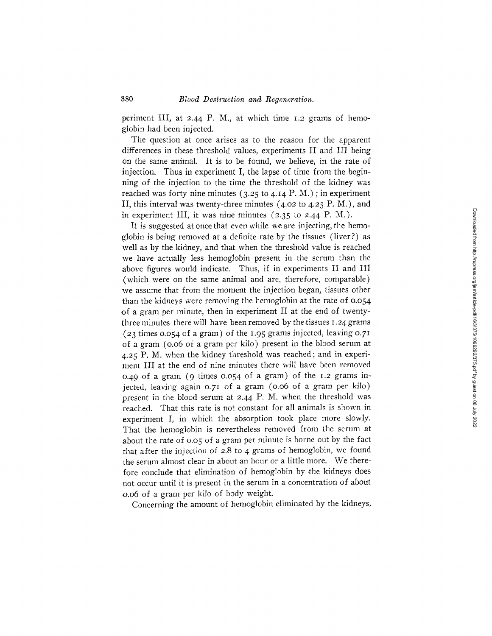periment III, at 2.44 P. M., at which time 1.2 grams of hemoglobin had been injected.

The question at once arises as to the reason for the apparent differences in these threshold values, experiments II and III being on the same animal. It is to be found, we believe, in the rate of injection. Thus in experiment I, the lapse of time from the beginning of the injection to the time the threshold of the kidney was reached was forty-nine minutes  $(3.25 \text{ to } 4.14 \text{ P. M.})$ ; in experiment II, this interval was twenty-three minutes  $(4.02 \text{ to } 4.25 \text{ P. M.})$ , and in experiment III, it was nine minutes (2.35 to 2.44 P. M.).

It is suggested at once that even while we are injecting, the hemoglobin is being removed at a definite rate by the tissues (liver?) as well as by the kidney, and that when the threshold value is reached we have actually less hemoglobin present in the serum than the above figures would indicate. Thus, if in experiments II and III (which were on the same animal and are, therefore, comparable) we assume that from the moment the injection began, tissues other than the kidneys were removing the hemoglobin at the rate of o.o54 of a gram per minute, then in experiment II at the end of twentythree minutes there will have been removed by the tissues  $1.24$  grams (23 times 0.054 of a gram) of the 1.95 grams injected, leaving 0.71 of a gram (o.o6 of a gram per kilo) present in the blood serum at 4.25 P. M. when the kidney threshold was reached; and in experiment III at the end of nine minutes there will have been removed o.49 of a gram (9 times 0.054 of a gram) of the 1.2 grams injected, leaving again o.7I of a gram (o.o6 of a gram per kilo) present in the blood serum at 2.44 P. M. when the threshold was reached. That this rate is not constant for all animals is shown in experiment I, in which the absorption took place more slowly. That the hemoglobin is nevertheless removed from the serum at about the rate of 0.05 of a gram per minute is borne out by the fact that after the injection of 2.8 to 4 grams of hemoglobin, we found the serum almost clear in about an hour or a little more. We therefore conclude that elimination of hemoglobin by the kidneys does not occur until it is present in the serum in a concentration of about 0.06 of a gram per kilo of body weight.

Concerning the amount of hemoglobin eliminated by the kidneys,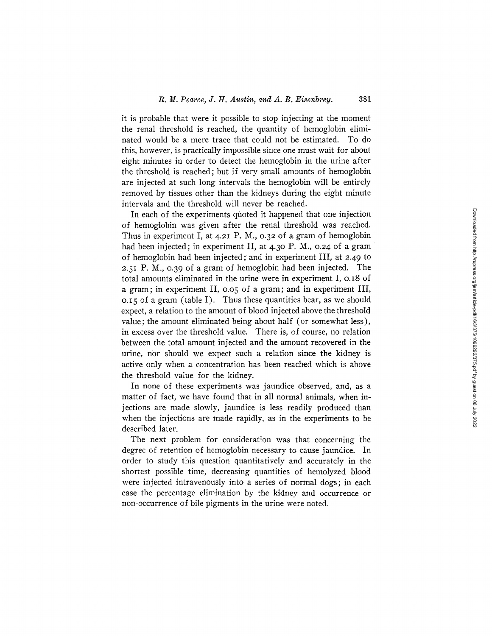it is probable that were it possible to stop injecting at the moment the renal threshold is reached, the quantity of hemoglobin eliminated would be a mere trace that could not be estimated. To do this, however, is practically impossible since one must wait for about eight minutes in order to detect the hemoglobin in the urine after the threshold is reached; but if very small amounts of hemoglobin are injected at such long intervals the hemoglobin will be entirely removed by tissues other than the kidneys during the eight minute intervals and the threshold will never be reached.

In each of the experiments quoted it happened that one injection of hemoglobin was given after the renal threshold was reached. Thus in experiment I, at 4.21 P. M., o.32 of a gram of hemoglobin had been injected; in experiment II, at 4.30 P. M., 0.24 of a gram of hemoglobin had been injected; and in experiment III, at 2.49 to 2.51 P. M., o-39 of a gram of hemoglobin had been injected. The total amounts eliminated in the urine were in experiment I, o.I8 of a gram; in experiment II, o.o5 of a gram; and in experiment III, o.15 of a gram (table I). Thus these quantities bear, as we should expect, a relation to the amount of blood injected above the threshold value; the amount eliminated being about half (or somewhat less), in excess over the threshold value. There is, of course, no relation between the total amount injected and the amount recovered in the urine, nor should we expect such a relation since the kidney is active only when a concentration has been reached which is above the threshold value for the kidney.

In none of these experiments was jaundice observed, and, as a matter of fact, we have found that in all normal animals, when injections are made slowly, jaundice is less readily produced than when the injections are made rapidly, as in the experiments to be described later.

The next problem for consideration was that concerning the degree of retention of hemoglobin necessary to cause jaundice. In order to study this question quantitatively and accurately in the shortest possible time, decreasing quantities of hemolyzed blood were injected intravenously into a series of normal dogs; in each case the percentage elimination by the kidney and occurrence or non-occurrence of bile pigments in the urine were noted.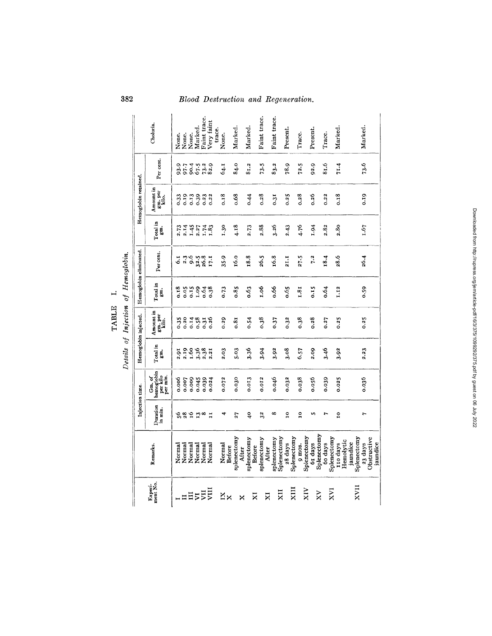| Details of Injection of Hemoglobin. |                        | None.                                        | None.<br>None. |                       | Marked.  | Faint trace.              | Very faint<br>trace. | None.        | Marked.                      |       | Marked.     | Faint trace.                 |                         | Faint trace                | Present. |                 | Trace. | Present.               |             | Trace.                  |             | Marked.               |                 |             | Marked.     |                         |  |
|-------------------------------------|------------------------|----------------------------------------------|----------------|-----------------------|----------|---------------------------|----------------------|--------------|------------------------------|-------|-------------|------------------------------|-------------------------|----------------------------|----------|-----------------|--------|------------------------|-------------|-------------------------|-------------|-----------------------|-----------------|-------------|-------------|-------------------------|--|
|                                     | Hemoglobin retained.   | Per cent.                                    |                | 93.7<br>97.7          | 6.4      | 67.5                      | $73.2$<br>82.9       |              | 64.1                         | 84.0  |             | 81.2                         | 73.5                    |                            | 83.2     | 78.9            |        | 72.5                   | 92.9        |                         | 81.6        |                       | 71.4            |             |             | 73.6                    |  |
|                                     |                        | Amount in<br>gm. per<br>kilo.                | 0.33           | 0.19                  | 0.13     | 0.39                      | 0.23                 | 0.22         | 0.18                         | 0.68  |             | 0.44                         | 0.28                    |                            | 0.31     | 0.25            |        | 0.28                   | 0.26        |                         | 0.22        |                       | 0.18            |             |             | 0.19                    |  |
|                                     |                        | Total in<br>g,                               |                | 2.71<br>2.145<br>1.45 |          | 2.27                      | 1.74                 |              | 1.30                         | 4.18  |             | 2.73                         | 2.88                    |                            | 3.26     | 2.43            |        | 4.76                   | 1.94        |                         | 2.82        |                       | 2.80            |             |             | 1.67                    |  |
|                                     | Hemoglobin eliminated. | Per cent.                                    | $\ddot{\circ}$ |                       |          | 100 10 100<br>100 100 100 |                      | 17.1         | 35.9                         | 16.0  |             | 18.8                         | 26.5                    |                            | 16.8     | 21.1            |        | 27.5                   | 7.2         |                         | 18.4        |                       | 28.6            |             |             | 26.4                    |  |
|                                     |                        | Total in<br>gm.                              | 0.18           | 0.05                  | 0.15     | <b>So.1</b>               | 0.64                 | 0.38         | 0.73                         | 0.85  |             | 0.63                         | 1.06                    |                            | 0.66     | 0.65            |        | 1.81                   | 0.15        |                         | 0.64        |                       | 1.12            |             |             | 0.59                    |  |
|                                     | Hemoglobin injected.   | Amount in<br>gm, per<br>kilo,                | 0.35           | 0.20                  | 0.14     | 0.58                      |                      | 0.26         | 0.29                         | 0.81  |             | 0.54                         | 0.38                    |                            | 0.37     | 0.32            |        | 0.38                   | 0.28        |                         | 0.27        |                       | 0.25            |             |             | 0.25                    |  |
|                                     |                        | Total in<br>ę.                               | 2.91           | 2.19                  | $60 - 1$ | $3.36$<br>$2.38$          |                      | 2.21         | 2.03                         |       | 5.03        | 3.36                         | 3.94                    |                            | 3.92     | 3.08            |        | 6.57                   | 2.09        |                         | 3.46        |                       | 3.92            |             |             | 2.23                    |  |
|                                     | Injection time.        | Gm. of<br>hemoglobin<br>per kilo<br>per min. | 0.006          | 0.007                 | 0.009    | 0.045                     | 0.039                | 0.024        | 0.072                        |       | 0.030       | 0.013                        | 0.012                   |                            | 0.046    | 0.032           |        | 0.038                  | 0.056       |                         | 0.039       |                       | 0.025           |             |             | 0.036                   |  |
|                                     |                        | Duration<br>in min.                          |                | ន្លនុង                |          | $\mathbf{r}$              | $\infty$             | $\mathbf{H}$ | 4                            |       | 27          | $\frac{1}{4}$                | 32                      |                            | ∞        | $\overline{10}$ |        | $\overline{1}$         | m           |                         | r           |                       | $\overline{10}$ |             |             | z                       |  |
|                                     |                        | Norma <sup>1</sup>                           | Normal         | Normal                | Normal   | Normal                    | Normal               | Normal       | splenectomy<br><b>Before</b> | After | splenectomy | splenectomy<br><b>Before</b> | After                   | splenectomy<br>Splenectomy | 28 days  | Splenectomy     | 9 mos. | Splenectomy<br>61 days | Splenectomy | 60 days                 | Splenectomy | Hemolytic<br>rro days | jaundice        | Splenectomy | 23 days     | Obstructive<br>jaundice |  |
|                                     |                        | Experi-<br>ment No.                          |                |                       |          | . <sub>88</sub>           |                      |              | МX                           |       | ×           |                              | $\overline{\mathbf{x}}$ | $\overline{\mathbf{X}}$    | XII      |                 | XIII   |                        | XIV         | $\overline{\mathbf{x}}$ |             | XVI                   |                 |             | <b>XVII</b> |                         |  |

Details of Injection of Hemodobin

TABLE I.

382

# *Blood Destruction and Regeneration.*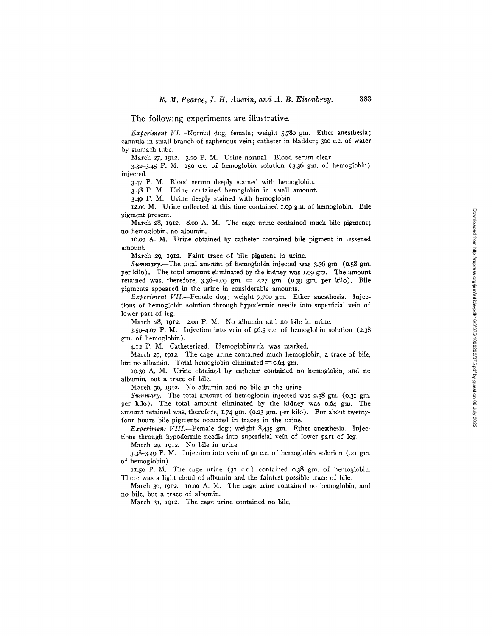The following experiments are illustrative.

*Experiment* VL--Normal dog, female; weight 5,780 gm. Ether anesthesia; cannnla in small branch of saphenous vein; catheter in bladder; 3oo c.c. of water by stomach tube.

March 27, I912. 3.20 P. M. Urine normal. Blood serum clear.

 $3.32 - 3.45$  P. M. 150 c.c. of hemoglobin solution  $(3.36$  gm. of hemoglobin) injected.

3.47 P. M. Blood serum deeply stained with hemoglobin.

3.48 P. M. Urine contained hemoglobin in small amount.

3.49 P. M. Urine deeply stained with hemoglobin.

12.oo M. Urine collected at this time contained 1.o9 gm. of hemoglobin. Bile pigment present.

March 28, 1912. 8.oo A. M. The cage urine contained much bile pigment; no hemoglobin, no albumin.

IO.OO A. M. Urine obtained by catheter contained bile pigment in lessened amount.

March 29, 1912. Faint trace of bile pigment in urine.

*Summary.*--The total amount of hemoglobin injected was 3.36 gm. (0.58 gm. per kilo). The total amount eliminated by the kidney was 1.09 gm. The amount retained was, therefore,  $3.36 - 1.09$  gm.  $= 2.27$  gm.  $(0.39)$  gm. per kilo). Bile pigments appeared in the urine in considerable amounts.

*Experiment VII*.--Female dog; weight 7,700 gm. Ether anesthesia. Injections of hemoglobin solution through hypodermic needle into superficial vein of lower part of leg.

March 28, 1912. 2.oo P. M. No albumin and no bile in urine.

3.59-4.o7 P. M. Injection into vein of 96.5 c.c. of hemoglobin solution (2.38 gm. of hemoglobin).

4.12 P. M. Catheterized. Hemoglobinuria was marked.

March 29, 1912. The cage urine contained much hemoglobin, a trace of bile, but no albumin. Total hemoglobin eliminated  $=$  0.64 gm.

10.30 A. M. Urine obtained by catheter contained no hemoglobin, and no albumin, but a trace of bile.

March 3o, 1912. No albumin and no bile in the urine.

*Summary.*--The total amount of hemoglobin injected was 2.38 gm. (0.31 gm. per kilo). The total amount eliminated by the kidney was 0.64 gm. The amount retained was, therefore, 1.74 gm. (0.23 gm. per kilo). For about twentyfour hours bile pigments occurred in traces in the urine.

*Experiment VIII.*--Female dog; weight 8,435 gm. Ether anesthesia. Injections through hypodermic needle into superficial vein of lower part of leg.

March 29, i912, No bile in urine.

 $3.38-3.49$  P. M. Injection into vein of 90 c.c. of hemoglobin solution (.21 gm. of hemoglobin).

11.50 P. M. The cage urine ( $3I$  c.c.) contained 0.38 gm. of hemoglobin. There was a light cloud of albumin and the faintest possible trace of bile.

March 30, 1912. io.oo A. M. The cage urine contained no hemoglobin, and no bile, but a trace of albumin.

March 31, 1912. The cage urine contained no bile.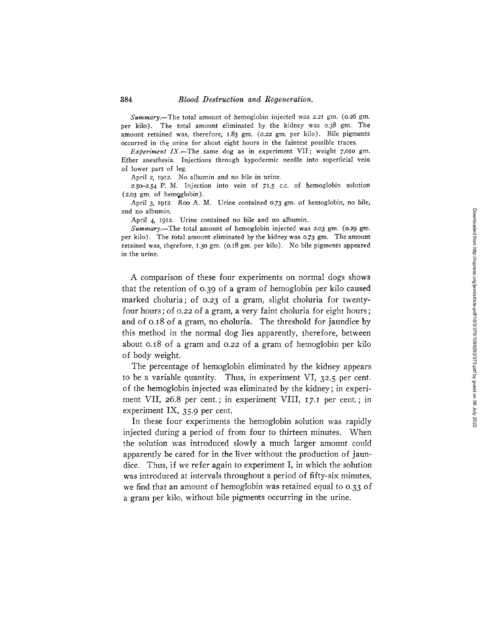#### **384** *Blood Destruction and Regeneration.*

*Summary.--The* total amount of hemoglobin injected was 2.2I gm. (0.26 gm. per kilo). The total amount eliminated by the kidney was o.38 gm. The amount retained was, therefore,  $1.83$  gm. (0.22 gm. per kilo). Bile pigments occurred in the urine for about eight hours in the faintest possible traces.

*Experiment IX.*-The same dog as in experiment VII; weight 7,010 gm. Ether anesthesia. Injections through hypodermic needle into superficial vein of lower part of leg.

April 2, I912. No albumin and no bile in urine.

2.50-2.54 P. M. Injection into vein of 71.5 c.c. of hemoglobin solution (2.03 gm. of hemoglobin).

April 3, 1912. 8.00 A. M. Urine contained 0.73 gm. of hemoglobin, no bile, and no albumin.

April 4, I912. Urine contained no bile and no albumin.

*Summary.*--The total amount of hemoglobin injected was 2.03 gm. (0.29 gm. per kilo). The total amount eliminated by the kidney was o.73 gm. The amount retained was, therefore, 1.30 gm. ( $0.18$  gm. per kilo). No bile pigments appeared in the urine.

A comparison of these four experiments on normal dogs shows that the retention of o.39 of a gram of hemoglobin per kilo caused marked choluria; of 0.23 of a gram, slight choluria for twentyfour hours ; of o.22 of a gram, a very faint choluria for eight hours ; and of o.18 of a gram, no choluria. The threshold for jaundice by this method in the normal dog lies apparently, therefore, between about o.18 of a gram and o.22 of a gram of hemoglobin per kilo of body weight.

The percentage of hemoglobin eliminated by the kidney appears to be a variable quantity. Thus, in experiment VI, 32.5 per cent. of the hemoglobin injected was eliminated by the kidney; in experiment VII, 26.8 per cent.; in experiment VIII, I7.1 per cent.; in experiment IX, 35.9 per cent.

In these four experiments the hemoglobin solution was rapidly injected during a period of from four to thirteen minutes. When the solution was introduced slowly a much larger amount could apparently be cared for in the liver without the production of jaundice. Thus, if we refer again to experiment I, in which the solution was introduced at intervals throughout a period of fifty-six minutes, we find that an amount of hemoglobin was retained equal to o.33 of a gram per kilo, without bile pigments occurring in the urine.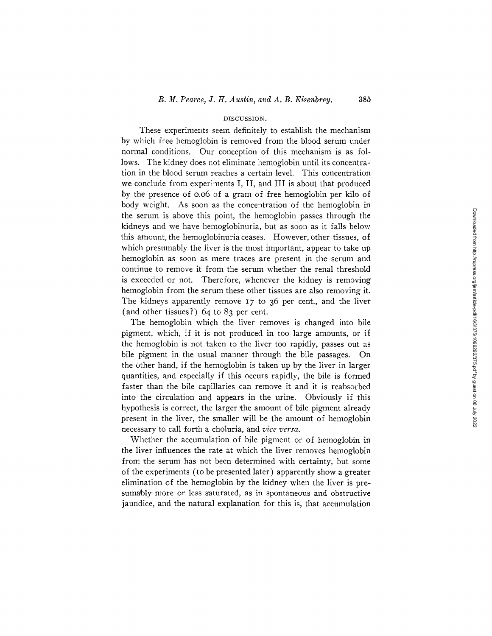### DISCUSSION.

These experiments seem definitely to establish the mechanism by which free hemoglobin is removed from the blood serum under normal conditions. Our conception of this mechanism is as follows. The kidney does not eliminate hemoglobin until its concentration in the blood serum reaches a certain level. This concentration we conclude from experiments I, II, and III is about that produced by the presence of 0.06 of a gram of free hemoglobin per kilo of body weight. As soon as the concentration of the hemoglobin in the serum is above this point, the hemoglobin passes through the kidneys and we have hemoglobinuria, but as soon as it falls below this amount, the hemoglobinuria ceases. However, other tissues, of which presumably the liver is the most important, appear to take up hemoglobin as soon as mere traces are present in the serum and continue to remove it from the serum whether the renal threshold is exceeded or not. Therefore, whenever the kidney is removing hemoglobin from the serum these other tissues are also removing it. The kidneys apparently remove 17 to 36 per cent., and the liver (and other tissues?) 64 to 83 per cent.

The hemoglobin which the liver removes is changed into bile pigment, which, if it is not produced in too large amounts, or if the hemoglobin is not taken to the liver too rapidly, passes out as bile pigment in the usual manner through the bile passages. On the other hand, if the hemoglobin is taken up by the liver in larger quantities, and especially if this occurs rapidly, the bile is formed faster than the bile capillaries can remove it and it is reabsorbed into the circulation and appears in the urine. Obviously if this hypothesis is correct, the larger the amount of bile pigment already present in the liver, the smaller will be the amount of hemoglobin necessary to call forth a choluria, and *vice versa.* 

Whether the accumulation of bile pigment or of hemoglobin in the liver influences the rate at which the liver removes hemoglobin from 'the serum has not been determined with certainty, but some of the experiments (to be presented later) apparently show a greater elimination of the hemoglobin by the kidney when the liver is presumably more or less saturated, as in spontaneous and obstructive jaundice, and the natural explanation for this is, that accumulation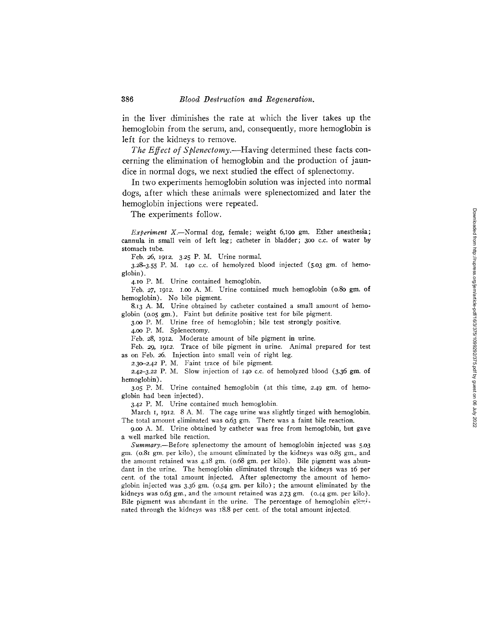in the liver diminishes the rate at which the liver takes up the hemoglobin from the serum, and, consequently, more hemoglobin is left for the kidneys to remove.

*The Effect of Splenectomy.--Having* determined these facts concerning the elimination of hemoglobin and the production of jaundice in normal dogs, we next studied the effect of splenectomy.

In two experiments hemoglobin solution was injected into normal dogs, after which these animals were splenectomized and later the hemoglobin injections were repeated.

The experiments follow.

*Experiment X.*-Normal dog, female; weight 6,190 gm. Ether anesthesia; cannula in small vein of left leg; catheter in bladder; 300 c.c. of water by stomach tube.

Feb. 26, I912. 3.25 P. M. Urine normal.

3.28-3.55 P. M. I4O c.c. of hemolyzed blood injected (5.03 gm. of hemoglobin).

4.IO P. M. Urine contained hemoglobin.

Feb. 27, 1912. I.00 A. M. Urine contained much hemoglobin (0.80 gm. of hemoglobin). No bile pigment.

8.I3 A. M. Urine obtained by catheter contained a small amount of hemoglobin (0.05 gm.). Faint but definite positive test for bile pigment.

3.00 P. M. Urine free of hemoglobin; bile test strongly positive.

4.0o P. M. Splenectomy.

Feb. 28, I912. Moderate amount of bile pigment in urine.

Feb. 29, I912. Trace of bile pigment in urine. Animal prepared for test as on Feb. 26. Injection into small vein of right leg.

2.30-2.42 P. M. Faint trace of bile pigment.

 $2.42 - 3.22$  P. M. Slow injection of  $140$  c.c. of hemolyzed blood  $(3.36$  gm. of hemoglobin).

3.05 P. M. Urine contained hemoglobin (at this time, 2.49 gm. of hemoglobin had been injected).

3.42 P. M. Urine contained much hemoglobin.

March I, I912. 8 A. M. The cage urine was slightly tinged with hemoglobin. The total amount eliminated was 0.63 gm. There was a faint bile reaction.

9.00 A. M. Urine obtained by catheter was free from hemoglobin, but gave well marked bile reaction.

*Summary.--Before* splenectomy the amount of hemoglobin injected was 5.03 gin. (o.8I gin. per kilo), the amount eliminated by the kidneys was 0.85 gm., and the amount retained was  $4.18$  gm. (0.68 gm. per kilo). Bile pigment was abundant in the urine. The hemoglobin eliminated through the kidneys was I6 per cent. of the total amount injected. After splenectomy the amount of hemoglobin injected was  $3.36$  gm. (0.54 gm. per kilo); the amount eliminated by the kidneys was  $0.63$  gm., and the amount retained was  $2.73$  gm.  $(0.44$  gm. per kilo). Bile pigment was abundant in the urine. The percentage of hemoglobin  $elim(-)$ . hated through the kidneys was i8.8 per cent. of the total amount injected.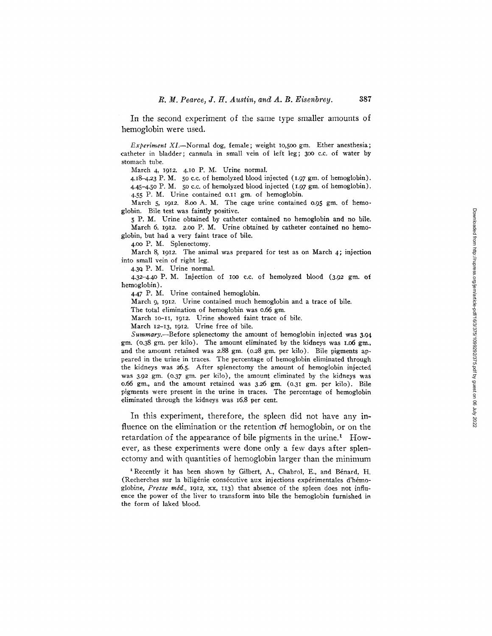In the second experiment of the same type smaller amounts of hemoglobin were used.

*Experiment XI*.-Normal dog, female; weight 10,500 gm. Ether anesthesia; catheter in bladder; cannula in small vein of left leg; 3oo c.c. of water by stomach tube.

March 4, 1912. 4.1o P. M. Urine normal.

4.18-4.23 P. M. 50 c.c. of hemolyzed blood injected  $(1.97 \text{ gm}, 0f \text{ hemoglobin})$ . 4.45-4.50 P.M. 50 c.c. of hemolyzed blood injected  $(1.97 \text{ gm. of hemoglobin})$ . 4.55 P. M. Urine contained O.ll gm. of hemoglobin.

March 5, 1912. 8.00 A. M. The cage urine contained 0.95 gm. of hemoglobin. Bile test was faintly positive.

5 P. M. Urine obtained by catheter contained no hemoglobin and no bile. March 6, 1912. 2.00 P. M. Urine obtained by catheter contained no hemo-

globin, but had a very faint trace of bile.

4.0o P. M. Splenectomy.

March 8, 1912. The animal was prepared for test as on March 4; injection into small vein of right leg.

4.30 P. M. Urine normal.

4.32-4.40 P. M. Injection of 100 c.c. of hemolyzed blood (3.92 gm. of hemoglobin).

4.47 P. M. Urine contained hemoglobin.

March 9, I912. Urine contained much hemoglobin and a trace of bile.

The total elimination of hemoglobin was 0.66 gm.

March lO-I1, 1912. Urine showed faint trace of bile.

March I2-I3, I912. Urine free of bile.

*Summary.--Before* splenectomy the amount of hemoglobin injected was 3.94 gm. (0.38 gm. per kilo). The amount eliminated by the kidneys was 1.06 gm., and the amount retained was  $2.88$  gm. (0.28 gm. per kilo). Bile pigments appeared in the urine in traces. The percentage of hemoglobin eliminated through the kidneys was 26.5. After splenectomy the amount of hemoglobin injected was  $3.92$  gm. (0.37 gm. per kilo), the amount eliminated by the kidneys was  $0.66$  gm., and the amount retained was  $3.26$  gm.  $(0.31$  gm. per kilo). Bile pigments were present in the urine in traces. The percentage of hemoglobin eliminated through the kidneys was 16.8 per cent.

In this experiment, therefore, the spleen did not have any influence on the elimination or the retention of hemoglobin, or on the retardation of the appearance of bile pigments in the urine.<sup>1</sup> However, as these experiments were done only a few days after splenectomy and with quantities of hemoglobin larger than the minimum

<sup>1</sup> Recently it has been shown by Gilbert, A., Chabrol, E., and Bénard, H. (Recherches sur la bilig6nie cons6cutive aux injections exp6rimentales d'h6moglobine, *Presse todd.,* 1912, xx, 113) that absence of the spleen does not influence the power of the liver to transform into bile the hemoglobin furnished in the form of laked blood.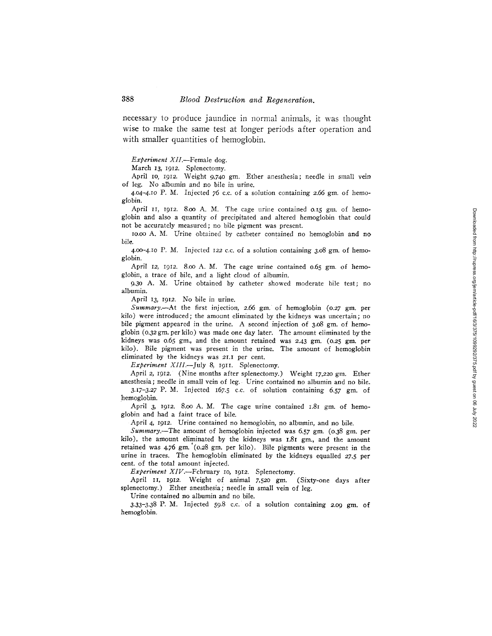necessary to produce jaundice in normal animals, it was thought wise to make the same test at longer periods after operation and with smaller quantities of hemoglobin.

*Experiment* X//.--Female dog.

March 13, I912. Splenectomy.

April 10, 1912. Weight 9,740 gm. Ether anesthesia; needle in small vein of leg. No albumin and no bile in urine.

4.04-4.10 P. M. Injected  $76$  c.c. of a solution containing 2.66 gm. of hemoglobin.

April ii, 1912. 8.00 A. M. The cage urine contained *o.16* gin. of hemoglobin and also a quantity of precipitated and altered hemoglobin that could not be accurately measured; no bile pigment was present.

IO.OO A. M. Urine obtained by catheter contained no hemoglobin and no bile.

4.00-4.10 P. M. Injected 122 c.c. of a solution containing  $3.08$  gm. of hemoglobin.

April 12, I912. 8.00 A. M. The cage urine contained 0.65 gm. of hemoglobin, a trace of bile, and a light cloud of albumin.

9.30 A. M. Urine obtained by catheter showed moderate bile test; no albumin.

April 13, 1912. No bile in urine.

*Summary.--At* the first injection, 2.66 gin. of hemoglobin *(0.27* gin. per kilo) were introduced; the amount eliminated by the kidneys was uncertain; no bile pigment appeared in the urine. A second injection of  $3.08$  gm. of hemoglobin  $(0.32 \text{ gm}$ , per kilo) was made one day later. The amount eliminated by the kidneys was  $0.65$  gm., and the amount retained was  $2.43$  gm.  $(0.25)$  gm. per kilo). Bile pigment was present in the urine. The amount of hemoglobin eliminated by the kidneys was 2I.I per cent.

*Experiment XIII.--July* 8, 1911. Splenectomy.

April 2, 1912. (Nine months after splenectomy.) Weight 17,220 gm. Ether anesthesia; needle in small vein of leg. Urine contained no albumin and no bile. *3.17-3.27* P. M. Injected I67.5 c.c. of solution containing 6.57 gin. of

hemoglobin. April 3, 1912. 8.00 A. M. The cage urine contained 1.81 gm. of hemoglobin and had a faint trace of bile.

April 4, I912. Urine contained no hemoglobin, no albumin, and no bile.

*Summary.*--The amount of hemoglobin injected was 6.57 gm. (0.38 gm. per kilo), the amount eliminated by the kidneys was 1.81 gm., and the amount retained was  $4.76$  gm.  $(0.28$  gm. per kilo). Bile pigments were present in the urine in traces. The hemoglobin eliminated by the kidneys equalled *27.5* per cent. of the total amount injected.

*Experiment XlV.--February* io, 1912. Splenectomy.

April II, 1912. Weight of animal 7,520 gm. (Sixty-one days after splenectomy.) Ether anesthesia; needle in small vein of leg.

Urine contained no albumin and no bile.

3.33-3.38 P. M. Injected 59.8 c.c. of a solution containing 2.09 gm. of hemoglobin.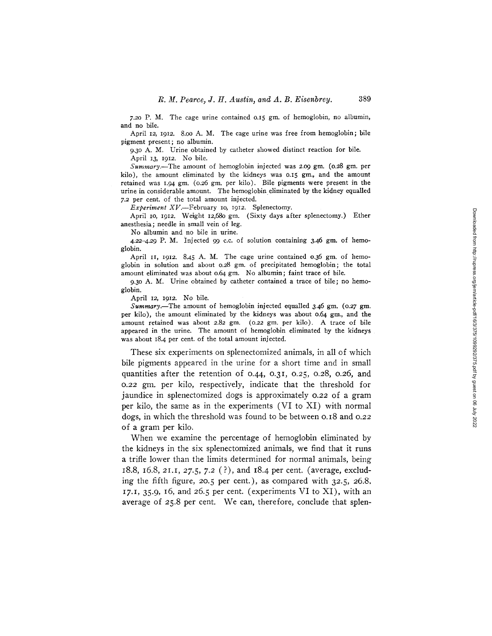7.2o P. M. The cage urine contained o.15 gm. of hemoglobin, no albumin, and no bile.

April 12, I912. 8.00 A. M. The cage urine was free from hemoglobin; bile pigment present; no albumin.

9.3o A. M. Urine obtained by catheter showed distinct reaction for bile.

April 13, 1912. No bile.

*Summary.*--The amount of hemoglobin injected was 2.09 gm. (0.28 gm. per kilo), the amount eliminated by the kidneys was o.15 gm., and the amount retained was 1.94 gm. (0.26 gm. per kilo). Bile pigments were present in the urine in considerable amount. The hemoglobin eliminated by the kidney equalled *7.2* per cent. of the total amount injected.

*Experiment XV*.--February 10, 1912. Splenectomy.

April 10, 1912. Weight 12,680 gm. (Sixty days after splenectomy.) Ether anesthesia; needle in small vein of leg.

No albumin and no bile in urine.

 $4.22 - 4.29$  P. M. Injected 99 c.c. of solution containing  $3.46$  gm. of hemoglobin.

April 11, 1912. 8.45 A. M. The cage urine contained  $0.36$  gm. of hemoglobin in solution and about o.28 gm. of precipitated hemoglobin; the total amount eliminated was about o.64 gm. No albumin; faint trace of bile.

9.30 A. M. Urine obtained by catheter contained a trace of bile; no hemoglobin.

April 12, I912. No bile.

*Summary.*-The amount of hemoglobin injected equalled 3.46 gm. (0.27 gm. per kilo), the amount eliminated by the kidneys was about 0.64 gm, and the amount retained was about 2.82 gm. (0.22 gm. per kilo). A trace of bile appeared in the urine. The amount of hemoglobin eliminated by the kidneys was about 18.4 per cent. of the total amount injected.

These six experiments on splenectomized animals, in all of which bile pigments appeared in the urine for a short time and in small quantities after the retention of 0.44, o.31, 0.25, 0.28, 0.26, and 0.22 gm. per kilo, respectively, indicate that the threshold for jaundice in splenectomized dogs is approximately 0.22 of a gram per kilo, the same as in the experiments (VI to XI) with normal dogs, in which the threshold was found to be between o.18 and 0.22 of a gram per kilo.

When we examine the percentage of hemoglobin eliminated by the kidneys in the six splenectomized animals, we find that it runs a trifle lower than the limits determined for normal animals, being I8.8, I6.8, 21.1, 27.5, 7.2 (?), and I8.4 per cent. (average, excluding the fifth figure, 20.5 per cent.), as compared with  $32.5$ ,  $26.8$ , 17.1, 35.9, 16, and 26.5 per cent. (experiments VI to XI), with an average of 25.8 per cent. We can, therefore, conclude that splen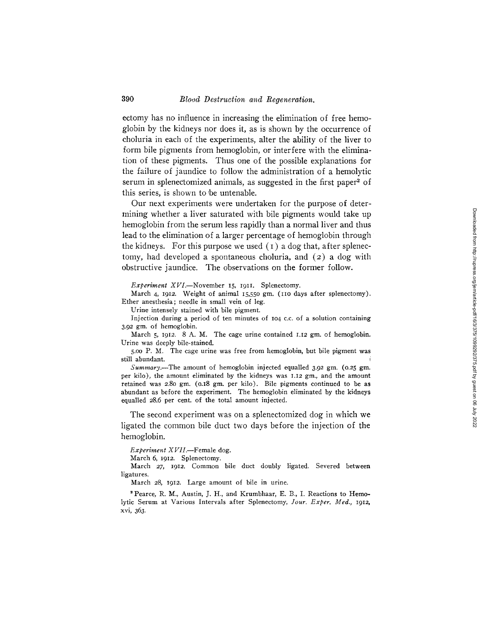ectomy has no influence in increasing the elimination of free hemoglobin by the kidneys nor does it, as is shown by the occurrence of choluria in each of the experiments, alter the ability of the liver to form bile pigments from hemoglobin, or interfere with the elimination of these pigments. Thus one of the possible explanations for the failure of jaundice to follow the administration of a hemolytic serum in splenectomized animals, as suggested in the first paper<sup>2</sup> of this series, is shown to be untenable.

Our next experiments were undertaken for the purpose of determining whether a liver saturated with bile pigments would take up hemoglobin from the serum less rapidly than a normal liver and thus lead to the elimination of a larger percentage of hemoglobin through the kidneys. For this purpose we used  $(1)$  a dog that, after splenectomy, had developed a spontaneous choluria, and (2) a dog with obstructive jaundice. The observations on the former follow.

*Experiment* XVI.--November 15, 1911. Splenectomy.

March 4, 1912. Weight of animal 15,550 gm. (110 days after splenectomy). Ether anesthesia; needle in small vein of leg.

Urine intensely stained with bile pigment.

Injection during a period of ten minutes of 104 c.c. of a solution containing 3.92 gm. of hemoglobin.

March 5, 1912. 8 A. M. The cage urine contained 1.12 gm. of hemoglobin. Urine was deeply bile-stained.

5.oo P. M. The cage urine was free from hemoglobin, but bile pigment was still abundant.

*Summary.*--The amount of hemoglobin injected equalled 3.92 gm. (0.25 gm. per kilo), the amount eliminated by the kidneys was 1.12 gm., and the amount retained was 2.80 gm. (0.18 gm. per kilo). Bile pigments continued to be as abundant as before the experiment. The hemoglobin eliminated by the kidneys equalled 28.6 per cent. of the total amount injected.

The second experiment was on a splenectomized dog in which we ligated the common bile duct two days before the injection of the hemoglobin.

*Experiment XVII.--Female* dog.

March 6, I912. Splenectomy.

March *27,* 1912. Common bile duct doubly ligated. Severed between ligatures.

March 28, 1912. Large amount of bile in urine.

<sup>2</sup> Pearce, R. M., Austin, J. H., and Krumbhaar, E. B., I. Reactions to Hemolytic Serum at Various Intervals after Splenectomy, *]our. Exper. Med.,* 1912, xvi, 363.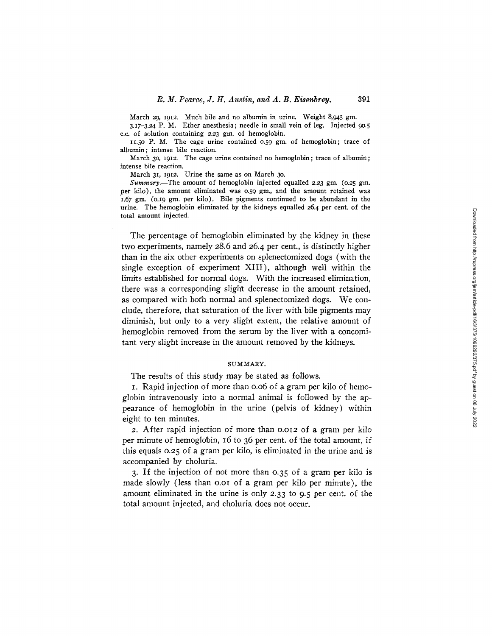March 29, 1912. Much bile and no albumin in urine. Weight 8,945 gm.

3.17-3.24 P. M. Ether anesthesia; needle in small vein of leg. Injected 9o.5 c.c. of solution containing 2.23 gm. of hemoglobin.

11.5o P. M. The cage urine contained o.59 gm. of hemoglobin; trace of albumin; intense bile reaction.

March 30, 1912. The cage urine contained no hemoglobin; trace of albumin; intense bile reaction.

March 31, 1912. Urine the same as on March 3o.

*Summary.*--The amount of hemoglobin injected equalled 2.23 gm. (0.25 gm. per kilo), the amount eliminated was 0.59 gm., and the amount retained was 1.67 gm. (0.19 gm. per kilo). Bile pigments continued to be abundant in the urine. The hemoglobin eliminated by the kidneys equalled 26.4 per cent. of the total amount injected.

The percentage of hemoglobin eliminated by the kidney in these two experiments, namely 28.6 and *26.4* per cent., is distinctly higher than in the six other experiments on splenectomized dogs (with the single exception of experiment XIII), although well within the limits established for normal dogs. With the increased elimination, there was a corresponding slight decrease in the amount retained, as compared with both normal and splenectomized dogs. We conclude, therefore, that saturation of the liver with bile pigments may diminish, but only to a very slight extent, the relative amount of hemoglobin removed from the serum by the liver with a concomitant very slight increase in the amount removed by the kidneys.

### SUMMARY.

The results of this study may be stated as follows.

I. Rapid injection of more than o.o6 of a gram per kilo of hemoglobin intravenously into a normal animal is followed by the appearance of hemoglobin in the urine (pelvis of kidney) within eight to ten minutes.

2. After rapid injection of more than o.o12 of a gram per kilo per minute of hemoglobin, I6 to 36 per cent. of the total amount, if this equals o.25 of a gram per kilo, is eliminated in the urine and is accompanied by choluria.

3. If the injection of not more than o.35 of a gram per kilo is made slowly (less than o.oi of a gram per kilo per minute), the amount eliminated in the urine is only *2.33* to 9.5 per cent. of the total amount injected, and choluria does not occur.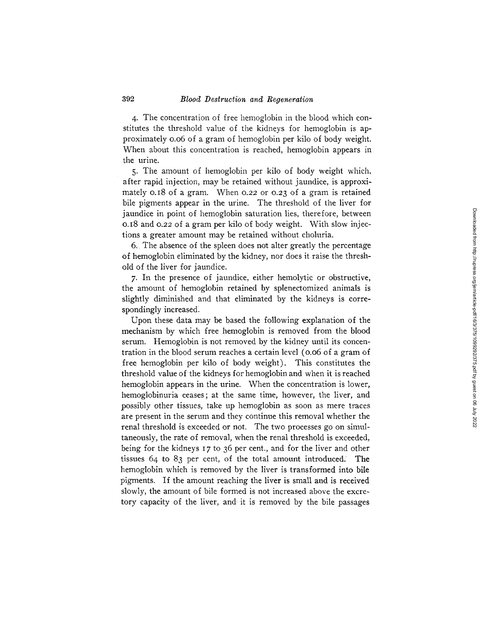4. The concentration of free hemoglobin in the blood which constitutes the threshold value of the kidneys for hemoglobin is approximately o.o6 of a gram of hemoglobin per kilo of body weight. When about this concentration is reached, hemoglobin appears in the urine.

5. The amount of hemoglobin per kilo of body weight which, after rapid injection, may be retained without jaundice, is approximately o.18 of a gram. When o.22 or o.23 of a gram is retained bile pigments appear in the urine. The threshold of the liver for jaundice in point of hemoglobin saturation lies, therefore, between o.18 and o.22 of a gram per kilo of body weight. With slow injections a greater amount may be retained without choluria.

6. The absence of the spleen does not alter greatly the percentage of hemoglobin eliminated by the kidney, nor does it raise the threshold of the liver for jaundice.

7. In the presence of jaundice, either hemolytic or obstructive, the amount of hemoglobin retained by splenectomized animals is slightly diminished and that eliminated by the kidneys is correspondingly increased.

Upon these data may be based the following explanation of the mechanism by which free hemoglobin is removed from the blood serum. Hemoglobin is not removed by the kidney until its concentration in the blood serum reaches a certain level (o.o6 of a gram of free hemoglobin per kilo of body weight). This constitutes the threshold value of the kidneys for hemoglobin and when it is reached hemoglobin appears in the urine. When the concentration is lower, hemoglobinuria ceases; at the same time, however, the liver, and possibly other tissues, take up hemoglobin as soon as mere traces are present in the serum and they continue this removal whether the renal threshold is exceeded or not. The two processes go on simultaneously, the rate of removal, when the renal threshold is exceeded, being for the kidneys 17 to 36 per cent., and for the liver and other tissues 64 to 83 per cent, of the total amount introduced. The hemoglobin which is removed by the liver is transformed into bile pigments. If the amount reaching the liver is small and is received slowly, the amount of bile formed is not increased above the excretory capacity of the liver, and it is removed by the bile passages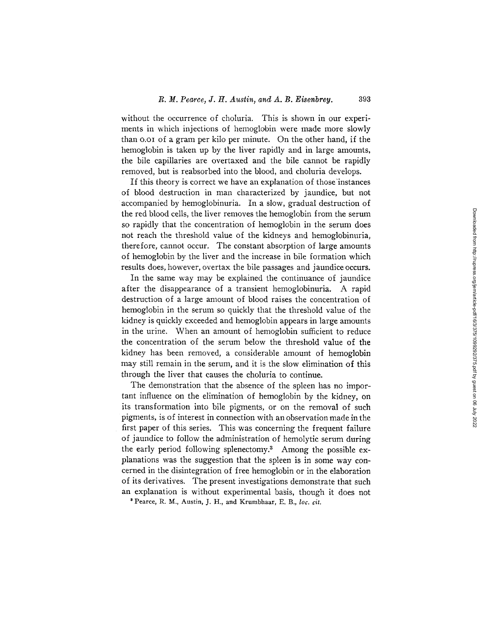without the occurrence of choluria. This is shown in our experiments in which injections of hemoglobin were made more slowly than o.oi of a gram per kilo per minute. On the other hand, if the hemoglobin is taken up by the liver rapidly and in large amounts, the bile capillaries are overtaxed and the bile cannot be rapidly removed, but is reabsorbed into the blood, and choluria develops.

If this theory is correct we have an explanation of those'instances of blood destruction in man characterized by jaundice, but not accompanied by hemoglobinuria. In a slow, gradual destruction of the red blood cells, the liver removes the hemoglobin from the serum so rapidly that the concentration of hemoglobin in the serum does not reach the threshold value of the kidneys and hemoglobinuria, therefore, cannot occur. The constant absorption of large amounts of hemoglobin by the liver and the increase in bile formation which results does, however, overtax the bile passages and jaundice occurs.

In the same way may be explained the continuance of jaundice after the disappearance of a transient hemoglobinuria. A rapid destruction of a large amount of blood raises the concentration of hemoglobin in the serum so quickly that the threshold value of the kidney is quickly exceeded and hemoglobin appears in large amounts in the urine. When an amount of hemoglobin sufficient to reduce the concentration of the serum below the threshold value of the kidney has been removed, a considerable amount of hemoglobin may still remain in the serum, and it is the slow elimination of this through the liver that causes the choluria to continue.

The demonstration that the absence of the spleen has no important influence on the elimination of hemoglobin by the kidney, on its transformation into bile pigments, or on the removal of such pigments, is of interest in connection with an observation made in the first paper of this series. This was concerning the frequent failure of jaundice to follow the administration of hemolytic serum during the early period following splenectomy.<sup>3</sup> Among the possible explanations was the suggestion that the spleen is in some way concerned in the disintegration of free hemoglobin or in the elaboration of its derivatives. The present investigations demonstrate that such an explanation is without experimental basis, though it does not

\* Pearce, R. M., Austin, J. H., and Krumbhaar, E. B., *loc. cir.*